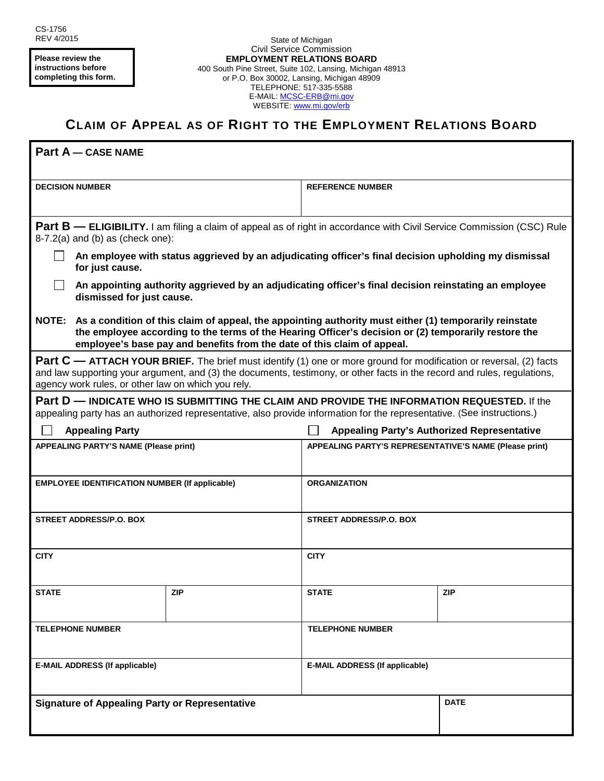**Please review the instructions before completing this form.**

## **CLAIM OF APPEAL AS OF RIGHT TO THE EMPLOYMENT RELATIONS BOARD**

| <b>Part A - CASE NAME</b>                                                                                                                                                                                                                                                                            |     |                                                        |             |
|------------------------------------------------------------------------------------------------------------------------------------------------------------------------------------------------------------------------------------------------------------------------------------------------------|-----|--------------------------------------------------------|-------------|
| <b>DECISION NUMBER</b>                                                                                                                                                                                                                                                                               |     | <b>REFERENCE NUMBER</b>                                |             |
| <b>Part B — ELIGIBILITY.</b> I am filing a claim of appeal as of right in accordance with Civil Service Commission (CSC) Rule<br>$8-7.2(a)$ and (b) as (check one):                                                                                                                                  |     |                                                        |             |
| An employee with status aggrieved by an adjudicating officer's final decision upholding my dismissal<br>for just cause.                                                                                                                                                                              |     |                                                        |             |
| An appointing authority aggrieved by an adjudicating officer's final decision reinstating an employee<br>dismissed for just cause.                                                                                                                                                                   |     |                                                        |             |
| NOTE: As a condition of this claim of appeal, the appointing authority must either (1) temporarily reinstate<br>the employee according to the terms of the Hearing Officer's decision or (2) temporarily restore the<br>employee's base pay and benefits from the date of this claim of appeal.      |     |                                                        |             |
| Part C - ATTACH YOUR BRIEF. The brief must identify (1) one or more ground for modification or reversal, (2) facts<br>and law supporting your argument, and (3) the documents, testimony, or other facts in the record and rules, regulations,<br>agency work rules, or other law on which you rely. |     |                                                        |             |
| Part D — INDICATE WHO IS SUBMITTING THE CLAIM AND PROVIDE THE INFORMATION REQUESTED. If the<br>appealing party has an authorized representative, also provide information for the representative. (See instructions.)                                                                                |     |                                                        |             |
| <b>Appealing Party</b>                                                                                                                                                                                                                                                                               |     | <b>Appealing Party's Authorized Representative</b>     |             |
| <b>APPEALING PARTY'S NAME (Please print)</b>                                                                                                                                                                                                                                                         |     | APPEALING PARTY'S REPRESENTATIVE'S NAME (Please print) |             |
| <b>EMPLOYEE IDENTIFICATION NUMBER (If applicable)</b>                                                                                                                                                                                                                                                |     | <b>ORGANIZATION</b>                                    |             |
| <b>STREET ADDRESS/P.O. BOX</b>                                                                                                                                                                                                                                                                       |     | STREET ADDRESS/P.O. BOX                                |             |
| <b>CITY</b>                                                                                                                                                                                                                                                                                          |     | <b>CITY</b>                                            |             |
| <b>STATE</b>                                                                                                                                                                                                                                                                                         | ZIP | <b>STATE</b>                                           | <b>ZIP</b>  |
| <b>TELEPHONE NUMBER</b>                                                                                                                                                                                                                                                                              |     | <b>TELEPHONE NUMBER</b>                                |             |
| <b>E-MAIL ADDRESS (If applicable)</b>                                                                                                                                                                                                                                                                |     | <b>E-MAIL ADDRESS (If applicable)</b>                  |             |
| <b>Signature of Appealing Party or Representative</b>                                                                                                                                                                                                                                                |     |                                                        | <b>DATE</b> |